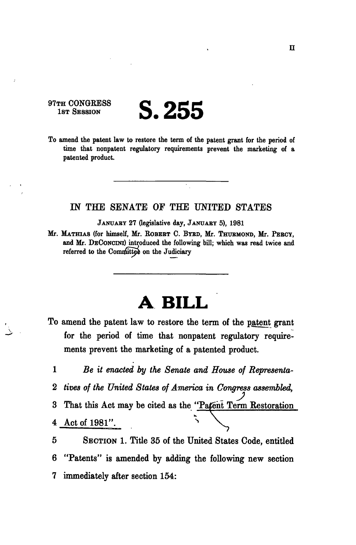## 97TH CONGRESS<br>18T SESSION 1ST SESSION **S.255**

To amend the patent law to restore the term of the patent grant for the period of time that nonpatent regulatory requirements prevent the marketing of a patented product.

## IN THE SENATE OF THE UNITED STATES

JANUABY 27 (legislative day, JANUARY 5), 1981

Mr. MATHIAS (for himself, Mr. ROBERT C. BYRD, Mr. THUEMONB, Mr. PEBCY, and Mr. DECONCINI) introduced the following bill; which was read twice and referred to the Committee on the Judiciary

## **A BILL**

To amend the patent law to restore the term of the patent grant for the period of time that nonpatent regulatory requirements prevent the marketing of a patented product.

1 *Be it enacted by the Senate and House of Representa-*2 *tines of the United States of America in Congress assembled,*  3 That this Act may be cited as the "Patent Term Restoration 4 Act of 1981". ^

5 SECTION 1. Title 35 of the United States Code, entitled 6 "Patents" is amended by adding the following new section 7 immediately after section 154: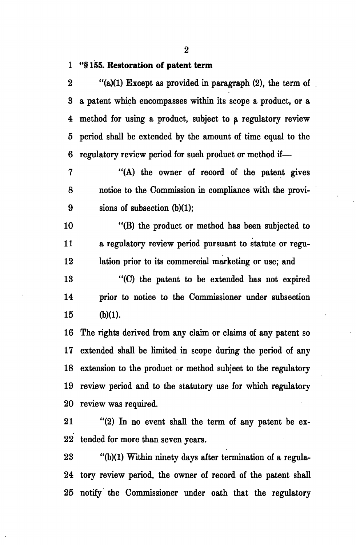**1 "§ 155. Restoration of patent term** 

2 " $(a)(1)$  Except as provided in paragraph  $(2)$ , the term of 3 a patent which encompasses within its scope a product, or a 4 method for using a product, suhject to a regulatory review 5 period shall be extended by the amount of time equal to the 6 regulatory review period for such product or method if—

7 "(A) the owner of record of the patent gives 8 notice to the Commission in compliance with the provi-9 sions of subsection (b)(1);

10 "(B) the product or method has been subjected to 11 a regulatory review period pursuant to statute or regu-12 lation prior to its commercial marketing or use; and

13 "(C) the patent to be extended has not expired 14 prior to notice to the Commissioner under subsection  $15$  (b)(1).

16 The rights derived from any claim or claims of any patent so 17 extended shall be limited in scope during the period of any 18 extension to the product or method subject to the regulatory 19 review period and to the statutory use for which regulatory 20 review was required.

21 "(2) In no event shall the term of any patent be ex-22 tended for more than seven years.

23 "(b)(1) Within ninety days after termination of a regula-24 tory review period, the owner of record of the patent shall 25 notify the Commissioner under oath that the regulatory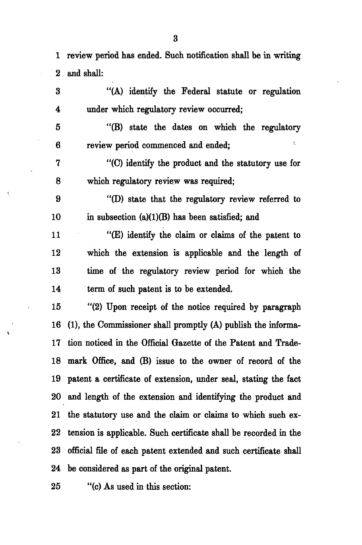1 review period has ended. Such notification shall be in writing 2 and shall:

3 "(A) identify the Federal statute or regulation 4 under which regulatory review occurred;

5 "(B) state the dates on which the regulatory ŷ. 6 review period commenced and ended;

7 "(C) identify the product and the statutory use for 8 which regulatory review was required;

9 "(D) state that the regulatory review referred to 10 in subsection  $(a)(1)(B)$  has been satisfied; and

11 "(E) identify the claim or claims of the patent to 12 which the extension is applicable and the length of 13 time of the regulatory review period for which the 14 term of such patent is to be extended.

15 "(2) Upon receipt of the notice required by paragraph 16 (1), the Commissioner shall promptly (A) publish the informa-17 tion noticed in the Official Gazette of the Patent and Trade-18 mark Office, and (B) issue to the owner of record of the 19 patent a certificate of extension, under seal, stating the fact 20 and length of the extension and identifying the product and 21 the statutory use and the claim or claims to which such ex-22 tension is applicable. Such certificate shall be recorded in the 23 official file of each patent extended and such certificate shall 24 be considered as part of the original patent.

25 "(c) As used in this section: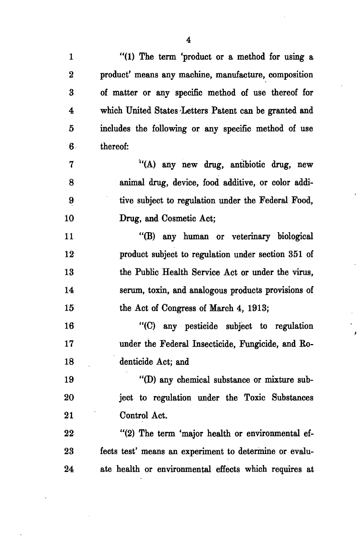1 "(1) The term 'product or a method for using a 2 product' means any machine, manufacture, composition 3 of matter or any specific method of use thereof for 4 which United States Letters Patent can be granted and 5 includes the following or any specific method of use 6 thereof: 7 "(A) any new drug, antibiotic drug, new 8 animal drug, device, food additive, or color addi-9 tive subject to regulation under the Federal Food, 10 Drug, and Cosmetic Act; 11 "(B) any human or veterinary biological 12 product subject to regulation under section 351 of 13 the Public Health Service Act or under the virus, 14 serum, toxin, and analogous products provisions of 15 the Act of Congress of March 4, 1913; 16 "(C) any pesticide subject to regulation 17 under the Federal Insecticide, Fungicide, and Ro-18 denticide Act; and 19 "(D) any chemical substance or mixture sub-20 ject to regulation under the Toxic Substances 21 Control Act. 22 "(2) The term 'major health or environmental ef-23 fects test' means an experiment to determine or evalu-24 ate health or environmental effects which requires at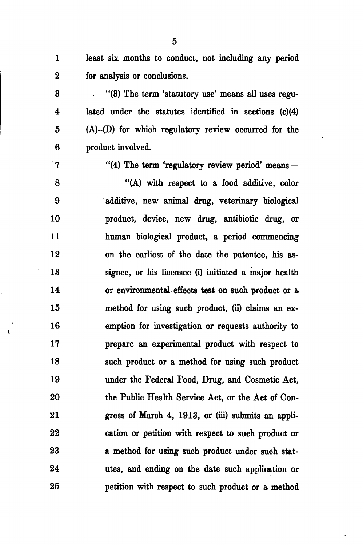1 least six months to conduct, not including any period 2 for analysis or conclusions.

3 "(3) The term 'statutory use' means all uses regu-4 lated under the statutes identified in sections (c)(4) 5 (A)-(D) for which regulatory review occurred for the 6 product involved.

7 "(4) The term 'regulatory review period' means—

8 "(A) with respect to a food additive, color 9 additive, new animal drug, veterinary biological 10 product, device, new drug, antibiotic drug, or 11 human biological product, a period commencing 12 on the earliest of the date the patentee, his as-13 signee, or his licensee (i) initiated a major health 14 or environmental effects test on such product or a 15 method for using such product, (ii) claims an ex-16 emption for investigation or requests authority to 17 prepare an experimental product with respect to 18 such product or a method for using such product 19 under the Federal Food, Drug, and Cosmetic Act, 20 the Public Health Service Act, or the Act of Con-21 gress of March 4, 1913, or (iii) submits an appli-22 cation or petition with respect to such product or 23 a method for using such product under such stat-24 utes, and ending on the date such application or 25 petition with respect to such product or a method

5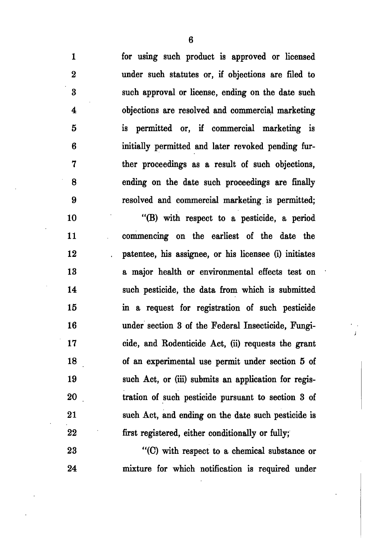for using such product is approved or licensed under such statutes or, if objections are filed to such approval or license, ending on the date such objections are resolved and commercial marketing is permitted or, if commercial marketing is initially permitted and later revoked pending further proceedings as a result of such objections, ending on the date such proceedings are finally resolved and commercial marketing is permitted;

"(B) with respect to a pesticide, a period commencing on the earliest of the date the patentee, his assignee, or his licensee (i) initiates a major health or environmental effects test on such pesticide, the data from which is submitted in a request for registration of such pesticide under section 3 of the Federal Insecticide, Fungicide, and Rodenticide Act, (ii) requests the grant of an experimental use permit under section 5 of such Act, or (iii) submits an application for registration of such pesticide pursuant to section 3 of such Act, and ending on the date such pesticide is first registered, either conditionally or fully;

"(C) with respect to a chemical substance or mixture for which notification is required under

6

 $\mathbf{1}$ 

 $\overline{2}$ 

3

 $\overline{\mathbf{4}}$ 

 $\bf{5}$ 

6

7

8

9

10

11

12

13

14

15

16

17

18

19

20

21

22

23

24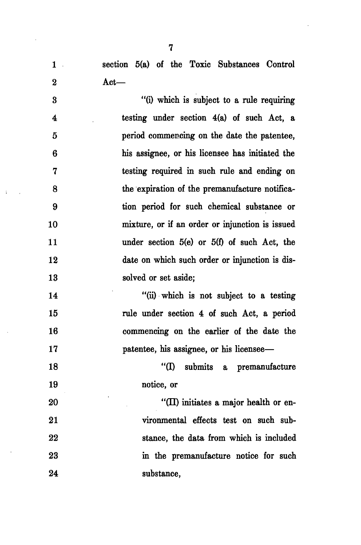1 section 5(a) of the Toxic Substances Control 2 Act—

3 "(i) which is subject to a rule requiring 4 testing under section 4(a) of such Act, a 5 period commencing on the date the patentee, 6 his assignee, or his licensee has initiated the 7 testing required in such rule and ending on 8 the expiration of the premanufacture notifica-9 tion period for such chemical substance or 10 mixture, or if an order or injunction is issued 11 under section 5(e) or 5(f) of such Act, the 12 date on which such order or injunction is dis-13 solved or set aside:

14 "(ii) which is not subject to a testing 15 rule under section 4 of such Act, a period 16 commencing on the earlier of the date the 17 patentee, his assignee, or his licensee—

18 "(I) submits a premanufacture 19 notice, or

20 "(II) initiates a major health or en-21 vironmental effects test on such sub-22 stance, the data from which is included 23 in the premanufacture notice for such 24 substance,